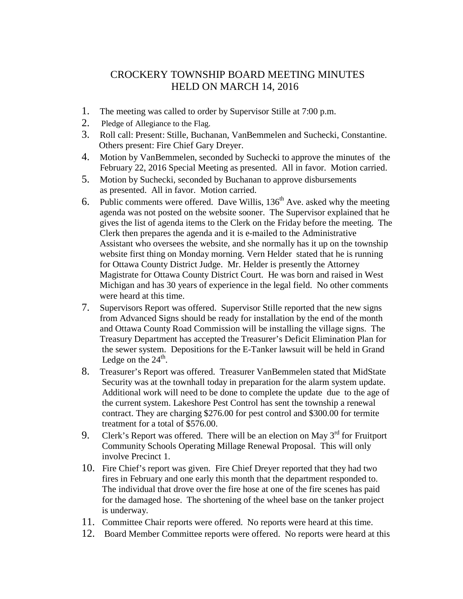## CROCKERY TOWNSHIP BOARD MEETING MINUTES HELD ON MARCH 14, 2016

- 1. The meeting was called to order by Supervisor Stille at 7:00 p.m.
- 2. Pledge of Allegiance to the Flag.
- 3. Roll call: Present: Stille, Buchanan, VanBemmelen and Suchecki, Constantine. Others present: Fire Chief Gary Dreyer.
- 4. Motion by VanBemmelen, seconded by Suchecki to approve the minutes of the February 22, 2016 Special Meeting as presented. All in favor. Motion carried.
- 5. Motion by Suchecki, seconded by Buchanan to approve disbursements as presented. All in favor. Motion carried.
- 6. Public comments were offered. Dave Willis,  $136<sup>th</sup>$  Ave. asked why the meeting agenda was not posted on the website sooner. The Supervisor explained that he gives the list of agenda items to the Clerk on the Friday before the meeting. The Clerk then prepares the agenda and it is e-mailed to the Administrative Assistant who oversees the website, and she normally has it up on the township website first thing on Monday morning. Vern Helder stated that he is running for Ottawa County District Judge. Mr. Helder is presently the Attorney Magistrate for Ottawa County District Court. He was born and raised in West Michigan and has 30 years of experience in the legal field. No other comments were heard at this time.
- 7. Supervisors Report was offered. Supervisor Stille reported that the new signs from Advanced Signs should be ready for installation by the end of the month and Ottawa County Road Commission will be installing the village signs. The Treasury Department has accepted the Treasurer's Deficit Elimination Plan for the sewer system. Depositions for the E-Tanker lawsuit will be held in Grand Ledge on the  $24<sup>th</sup>$ .
- 8. Treasurer's Report was offered. Treasurer VanBemmelen stated that MidState Security was at the townhall today in preparation for the alarm system update. Additional work will need to be done to complete the update due to the age of the current system. Lakeshore Pest Control has sent the township a renewal contract. They are charging \$276.00 for pest control and \$300.00 for termite treatment for a total of \$576.00.
- 9. Clerk's Report was offered. There will be an election on May  $3<sup>rd</sup>$  for Fruitport Community Schools Operating Millage Renewal Proposal. This will only involve Precinct 1.
- 10. Fire Chief's report was given. Fire Chief Dreyer reported that they had two fires in February and one early this month that the department responded to. The individual that drove over the fire hose at one of the fire scenes has paid for the damaged hose. The shortening of the wheel base on the tanker project is underway.
- 11. Committee Chair reports were offered. No reports were heard at this time.
- 12. Board Member Committee reports were offered. No reports were heard at this